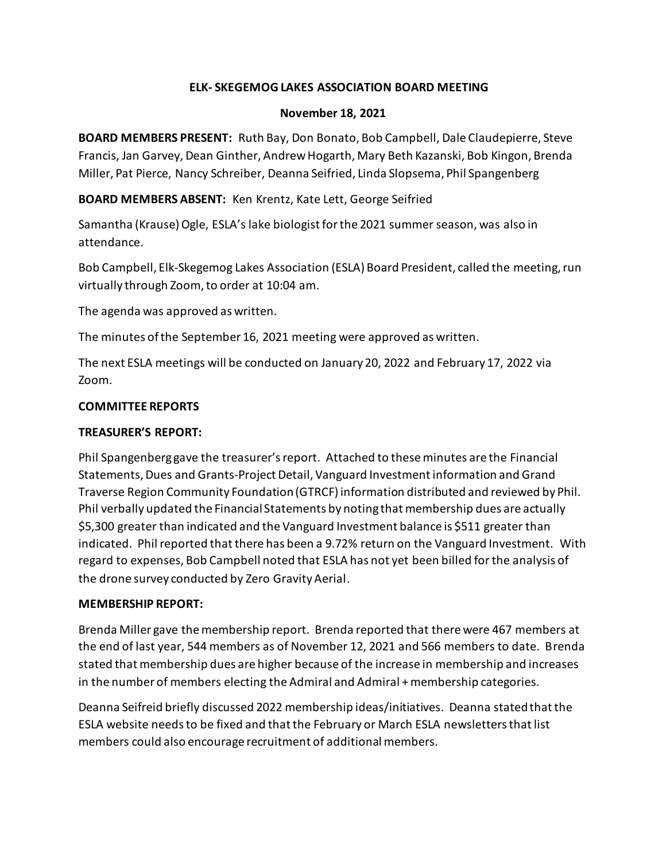# **ELK- SKEGEMOG LAKES ASSOCIATION BOARD MEETING**

## **November 18, 2021**

**BOARD MEMBERS PRESENT:** Ruth Bay, Don Bonato, Bob Campbell, Dale Claudepierre, Steve Francis, Jan Garvey, Dean Ginther, Andrew Hogarth, Mary Beth Kazanski, Bob Kingon, Brenda Miller, Pat Pierce, Nancy Schreiber, Deanna Seifried, Linda Slopsema, Phil Spangenberg

**BOARD MEMBERS ABSENT:** Ken Krentz, Kate Lett, George Seifried

Samantha (Krause) Ogle, ESLA's lake biologist for the 2021 summer season, was also in attendance.

Bob Campbell, Elk-Skegemog Lakes Association (ESLA) Board President, called the meeting, run virtually through Zoom, to order at 10:04 am.

The agenda was approved as written.

The minutes of the September 16, 2021 meeting were approved as written.

The next ESLA meetings will be conducted on January 20, 2022 and February 17, 2022 via Zoom.

## **COMMITTEE REPORTS**

## **TREASURER'S REPORT:**

Phil Spangenberg gave the treasurer's report. Attached to these minutes are the Financial Statements, Dues and Grants-Project Detail, Vanguard Investment information and Grand Traverse Region Community Foundation (GTRCF) information distributed and reviewed by Phil. Phil verbally updated the Financial Statements by noting that membership dues are actually \$5,300 greater than indicated and the Vanguard Investment balance is \$511 greater than indicated. Phil reported that there has been a 9.72% return on the Vanguard Investment. With regard to expenses, Bob Campbell noted that ESLA has not yet been billed for the analysis of the drone survey conducted by Zero Gravity Aerial.

#### **MEMBERSHIP REPORT:**

Brenda Miller gave the membership report. Brenda reported that there were 467 members at the end of last year, 544 members as of November 12, 2021 and 566 members to date. Brenda stated that membership dues are higher because of the increase in membership and increases in the number of members electing the Admiral and Admiral + membership categories.

Deanna Seifreid briefly discussed 2022 membership ideas/initiatives. Deanna stated that the ESLA website needs to be fixed and that the February or March ESLA newsletters that list members could also encourage recruitment of additional members.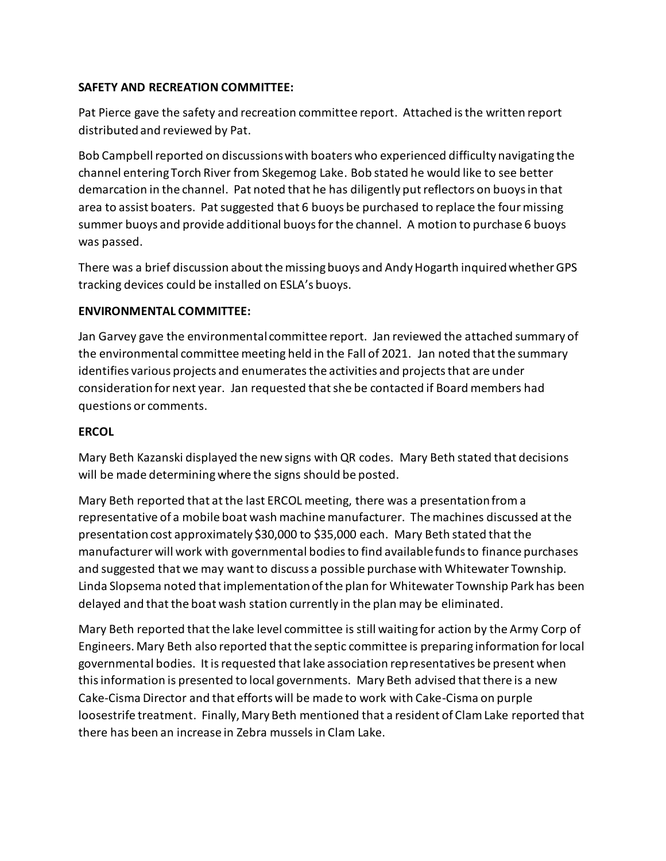# **SAFETY AND RECREATION COMMITTEE:**

Pat Pierce gave the safety and recreation committee report. Attached is the written report distributed and reviewed by Pat.

Bob Campbell reported on discussions with boaters who experienced difficulty navigating the channel entering Torch River from Skegemog Lake. Bob stated he would like to see better demarcation in the channel. Pat noted that he has diligently put reflectors on buoys in that area to assist boaters. Pat suggested that 6 buoys be purchased to replace the four missing summer buoys and provide additional buoys for the channel. A motion to purchase 6 buoys was passed.

There was a brief discussion about the missing buoys and Andy Hogarth inquired whether GPS tracking devices could be installed on ESLA's buoys.

## **ENVIRONMENTAL COMMITTEE:**

Jan Garvey gave the environmental committee report. Jan reviewed the attached summary of the environmental committee meeting held in the Fall of 2021. Jan noted that the summary identifies various projects and enumeratesthe activities and projects that are under consideration for next year. Jan requested that she be contacted if Board members had questions or comments.

## **ERCOL**

Mary Beth Kazanski displayed the new signs with QR codes. Mary Beth stated that decisions will be made determiningwhere the signs should be posted.

Mary Beth reported that at the last ERCOL meeting, there was a presentation from a representative of a mobile boat wash machine manufacturer. The machines discussed at the presentation cost approximately \$30,000 to \$35,000 each. Mary Beth stated that the manufacturer will work with governmental bodies to find available funds to finance purchases and suggested that we may want to discuss a possible purchase with Whitewater Township. Linda Slopsema noted that implementation of the plan for Whitewater Township Park has been delayed and that the boat wash station currently in the plan may be eliminated.

Mary Beth reported that the lake level committee is still waiting for action by the Army Corp of Engineers. Mary Beth also reported that the septic committee is preparing information for local governmental bodies. It is requested that lake association representatives be present when this information is presented to local governments. Mary Beth advised that there is a new Cake-Cisma Director and that efforts will be made to work with Cake-Cisma on purple loosestrife treatment. Finally, Mary Beth mentioned that a resident of Clam Lake reported that there has been an increase in Zebra mussels in Clam Lake.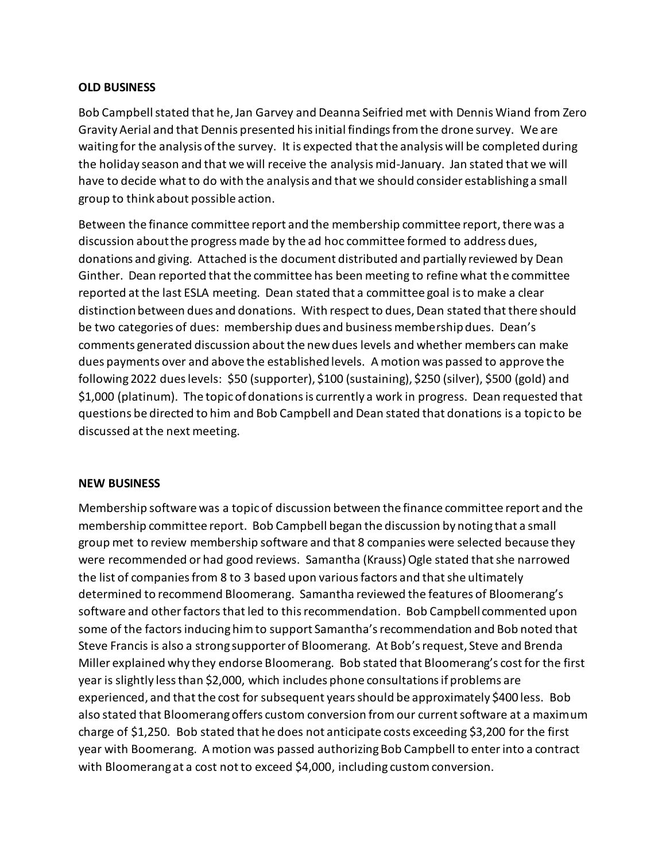#### **OLD BUSINESS**

Bob Campbell stated that he, Jan Garvey and Deanna Seifried met with Dennis Wiand from Zero Gravity Aerial and that Dennis presented his initial findings from the drone survey. We are waiting for the analysis of the survey. It is expected that the analysis will be completed during the holiday season and that we will receive the analysis mid-January. Jan stated that we will have to decide what to do with the analysis and that we should consider establishing a small group to think about possible action.

Between the finance committee report and the membership committee report, there was a discussion about the progress made by the ad hoc committee formed to address dues, donations and giving. Attached is the document distributed and partially reviewed by Dean Ginther. Dean reported that the committee has been meeting to refine what the committee reported at the last ESLA meeting. Dean stated that a committee goal is to make a clear distinction between dues and donations. With respect to dues, Dean stated that there should be two categories of dues: membership dues and business membership dues. Dean's comments generated discussion about the new dues levels and whether members can make dues payments over and above the established levels. A motion was passed to approve the following 2022 dues levels: \$50 (supporter), \$100 (sustaining), \$250 (silver), \$500 (gold) and \$1,000 (platinum). The topic of donations is currently a work in progress. Dean requested that questions be directed to him and Bob Campbell and Dean stated that donations is a topic to be discussed at the next meeting.

#### **NEW BUSINESS**

Membership software was a topic of discussion between the finance committee report and the membership committee report. Bob Campbell began the discussion by noting that a small group met to review membership software and that 8 companies were selected because they were recommended or had good reviews. Samantha (Krauss) Ogle stated that she narrowed the list of companies from 8 to 3 based upon various factors and that she ultimately determined to recommend Bloomerang. Samantha reviewed the features of Bloomerang's software and other factors that led to thisrecommendation. Bob Campbell commented upon some of the factors inducing him to support Samantha's recommendation and Bob noted that Steve Francis is also a strong supporter of Bloomerang. At Bob's request, Steve and Brenda Miller explained why they endorse Bloomerang. Bob stated that Bloomerang's cost for the first year is slightly less than \$2,000, which includes phone consultations if problems are experienced, and that the cost for subsequent years should be approximately \$400 less. Bob also stated that Bloomerang offers custom conversion from our current software at a maximum charge of \$1,250. Bob stated that he does not anticipate costs exceeding \$3,200 for the first year with Boomerang. A motion was passed authorizing Bob Campbell to enter into a contract with Bloomerang at a cost not to exceed \$4,000, including custom conversion.